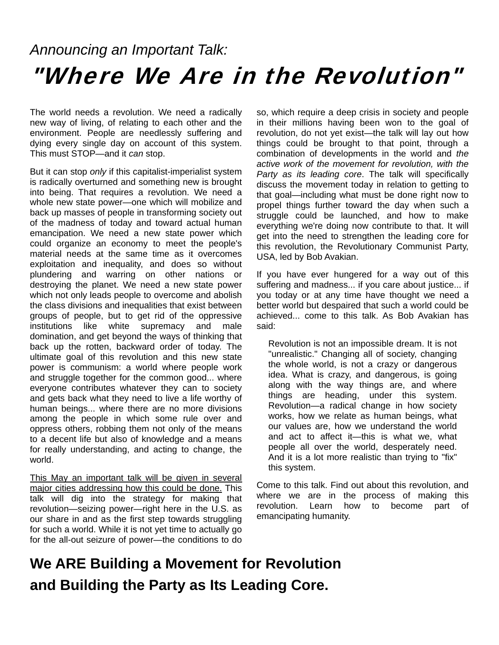## *Announcing an Important Talk:*  "Where We Are in the Revolution"

The world needs a revolution. We need a radically new way of living, of relating to each other and the environment. People are needlessly suffering and dying every single day on account of this system. This must STOP—and it *can* stop.

But it can stop *only* if this capitalist-imperialist system is radically overturned and something new is brought into being. That requires a revolution. We need a whole new state power—one which will mobilize and back up masses of people in transforming society out of the madness of today and toward actual human emancipation. We need a new state power which could organize an economy to meet the people's material needs at the same time as it overcomes exploitation and inequality, and does so without plundering and warring on other nations or destroying the planet. We need a new state power which not only leads people to overcome and abolish the class divisions and inequalities that exist between groups of people, but to get rid of the oppressive institutions like white supremacy and male domination, and get beyond the ways of thinking that back up the rotten, backward order of today. The ultimate goal of this revolution and this new state power is communism: a world where people work and struggle together for the common good... where everyone contributes whatever they can to society and gets back what they need to live a life worthy of human beings... where there are no more divisions among the people in which some rule over and oppress others, robbing them not only of the means to a decent life but also of knowledge and a means for really understanding, and acting to change, the world.

This May an important talk will be given in several major cities addressing how this could be done. This talk will dig into the strategy for making that revolution—seizing power—right here in the U.S. as our share in and as the first step towards struggling for such a world. While it is not yet time to actually go for the all-out seizure of power—the conditions to do so, which require a deep crisis in society and people in their millions having been won to the goal of revolution, do not yet exist—the talk will lay out how things could be brought to that point, through a combination of developments in the world and *the active work of the movement for revolution, with the Party as its leading core*. The talk will specifically discuss the movement today in relation to getting to that goal—including what must be done right now to propel things further toward the day when such a struggle could be launched, and how to make everything we're doing now contribute to that. It will get into the need to strengthen the leading core for this revolution, the Revolutionary Communist Party, USA, led by Bob Avakian.

If you have ever hungered for a way out of this suffering and madness... if you care about justice... if you today or at any time have thought we need a better world but despaired that such a world could be achieved... come to this talk. As Bob Avakian has said:

Revolution is not an impossible dream. It is not "unrealistic." Changing all of society, changing the whole world, is not a crazy or dangerous idea. What is crazy, and dangerous, is going along with the way things are, and where things are heading, under this system. Revolution—a radical change in how society works, how we relate as human beings, what our values are, how we understand the world and act to affect it—this is what we, what people all over the world, desperately need. And it is a lot more realistic than trying to "fix" this system.

Come to this talk. Find out about this revolution, and where we are in the process of making this revolution. Learn how to become part of emancipating humanity.

#### **We ARE Building a Movement for Revolution and Building the Party as Its Leading Core.**